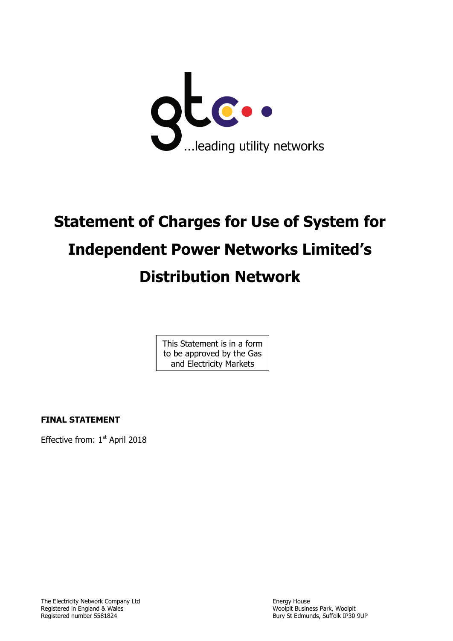

# **Statement of Charges for Use of System for Independent Power Networks Limited's Distribution Network**

This Statement is in a form to be approved by the Gas and Electricity Markets

Authority of the Constitution

**FINAL STATEMENT**

Effective from: 1st April 2018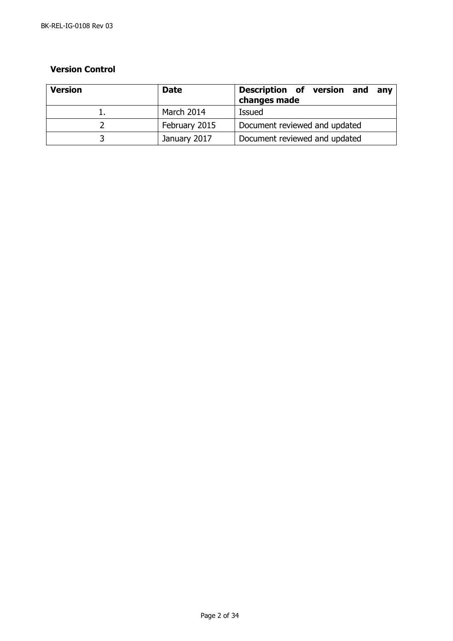## **Version Control**

| <b>Version</b> | <b>Date</b>   | Description of version and<br>anv<br>changes made |
|----------------|---------------|---------------------------------------------------|
|                | March 2014    | <b>Issued</b>                                     |
|                | February 2015 | Document reviewed and updated                     |
|                | January 2017  | Document reviewed and updated                     |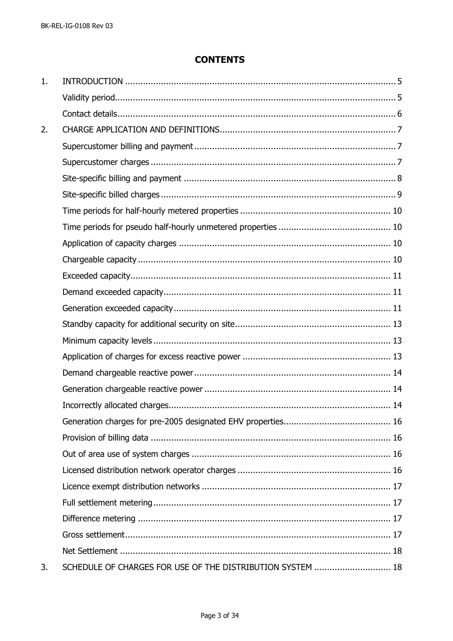# **CONTENTS**

| 1. |                                                            |  |
|----|------------------------------------------------------------|--|
|    |                                                            |  |
|    |                                                            |  |
| 2. |                                                            |  |
|    |                                                            |  |
|    |                                                            |  |
|    |                                                            |  |
|    |                                                            |  |
|    |                                                            |  |
|    |                                                            |  |
|    |                                                            |  |
|    |                                                            |  |
|    |                                                            |  |
|    |                                                            |  |
|    |                                                            |  |
|    |                                                            |  |
|    |                                                            |  |
|    |                                                            |  |
|    |                                                            |  |
|    |                                                            |  |
|    |                                                            |  |
|    |                                                            |  |
|    |                                                            |  |
|    |                                                            |  |
|    |                                                            |  |
|    |                                                            |  |
|    |                                                            |  |
|    |                                                            |  |
|    |                                                            |  |
|    |                                                            |  |
| 3. | SCHEDULE OF CHARGES FOR USE OF THE DISTRIBUTION SYSTEM  18 |  |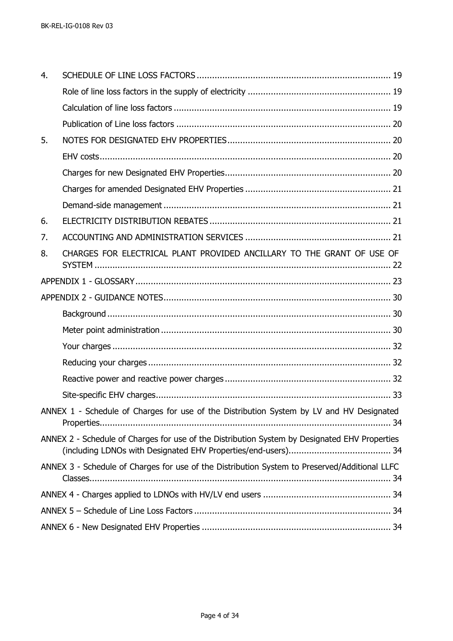| 4. |                                                                                               |
|----|-----------------------------------------------------------------------------------------------|
|    |                                                                                               |
|    |                                                                                               |
|    |                                                                                               |
| 5. |                                                                                               |
|    |                                                                                               |
|    |                                                                                               |
|    |                                                                                               |
|    |                                                                                               |
| 6. |                                                                                               |
| 7. |                                                                                               |
| 8. | CHARGES FOR ELECTRICAL PLANT PROVIDED ANCILLARY TO THE GRANT OF USE OF                        |
|    |                                                                                               |
|    |                                                                                               |
|    |                                                                                               |
|    |                                                                                               |
|    |                                                                                               |
|    |                                                                                               |
|    |                                                                                               |
|    |                                                                                               |
|    | ANNEX 1 - Schedule of Charges for use of the Distribution System by LV and HV Designated      |
|    | ANNEX 2 - Schedule of Charges for use of the Distribution System by Designated EHV Properties |
|    | ANNEX 3 - Schedule of Charges for use of the Distribution System to Preserved/Additional LLFC |
|    |                                                                                               |
|    |                                                                                               |
|    |                                                                                               |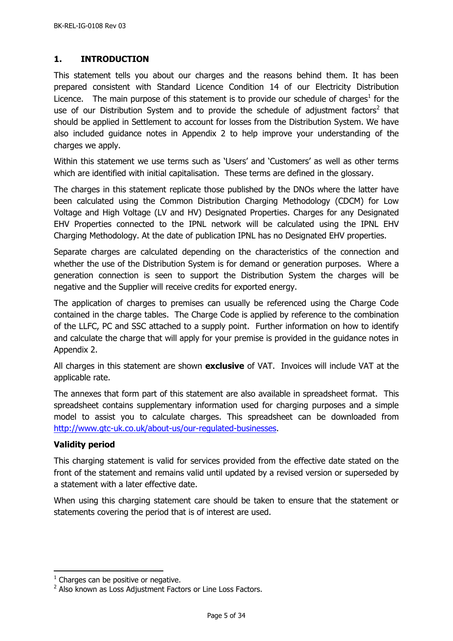# <span id="page-4-0"></span>**1. INTRODUCTION**

This statement tells you about our charges and the reasons behind them. It has been prepared consistent with Standard Licence Condition 14 of our Electricity Distribution Licence. The main purpose of this statement is to provide our schedule of charges<sup>1</sup> for the use of our Distribution System and to provide the schedule of adjustment factors<sup>2</sup> that should be applied in Settlement to account for losses from the Distribution System. We have also included guidance notes in Appendix 2 to help improve your understanding of the charges we apply.

Within this statement we use terms such as 'Users' and 'Customers' as well as other terms which are identified with initial capitalisation. These terms are defined in the glossary.

The charges in this statement replicate those published by the DNOs where the latter have been calculated using the Common Distribution Charging Methodology (CDCM) for Low Voltage and High Voltage (LV and HV) Designated Properties. Charges for any Designated EHV Properties connected to the IPNL network will be calculated using the IPNL EHV Charging Methodology. At the date of publication IPNL has no Designated EHV properties.

Separate charges are calculated depending on the characteristics of the connection and whether the use of the Distribution System is for demand or generation purposes. Where a generation connection is seen to support the Distribution System the charges will be negative and the Supplier will receive credits for exported energy.

The application of charges to premises can usually be referenced using the Charge Code contained in the charge tables. The Charge Code is applied by reference to the combination of the LLFC, PC and SSC attached to a supply point. Further information on how to identify and calculate the charge that will apply for your premise is provided in the guidance notes in Appendix 2.

All charges in this statement are shown **exclusive** of VAT. Invoices will include VAT at the applicable rate.

The annexes that form part of this statement are also available in spreadsheet format. This spreadsheet contains supplementary information used for charging purposes and a simple model to assist you to calculate charges. This spreadsheet can be downloaded from [http://www.gtc-uk.co.uk/about-us/our-regulated-businesses.](http://www.gtc-uk.co.uk/about-us/our-regulated-businesses)

## <span id="page-4-1"></span>**Validity period**

j

This charging statement is valid for services provided from the effective date stated on the front of the statement and remains valid until updated by a revised version or superseded by a statement with a later effective date.

When using this charging statement care should be taken to ensure that the statement or statements covering the period that is of interest are used.

 $<sup>1</sup>$  Charges can be positive or negative.</sup>

 $2$  Also known as Loss Adjustment Factors or Line Loss Factors.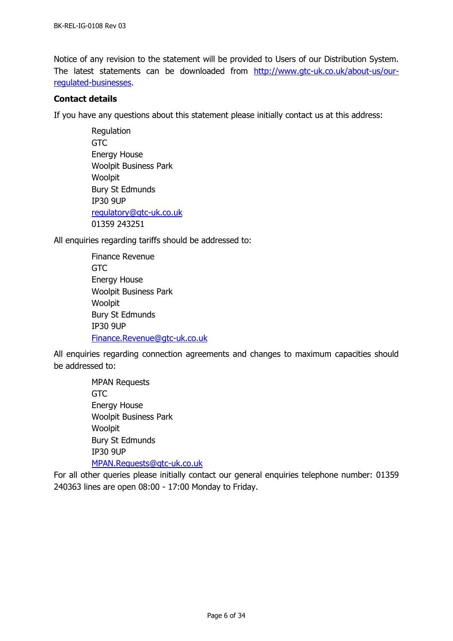Notice of any revision to the statement will be provided to Users of our Distribution System. The latest statements can be downloaded from [http://www.gtc-uk.co.uk/about-us/our](http://www.gtc-uk.co.uk/about-us/our-regulated-businesses)[regulated-businesses.](http://www.gtc-uk.co.uk/about-us/our-regulated-businesses)

## <span id="page-5-0"></span>**Contact details**

If you have any questions about this statement please initially contact us at this address:

Regulation **GTC** Energy House Woolpit Business Park Woolpit Bury St Edmunds IP30 9UP [regulatory@gtc-uk.co.uk](mailto:regulatory@gtc-uk.co.uk) 01359 243251

<span id="page-5-1"></span>All enquiries regarding tariffs should be addressed to:

Finance Revenue GTC Energy House Woolpit Business Park Woolpit Bury St Edmunds IP30 9UP [Finance.Revenue@gtc-uk.co.uk](mailto:Finance.Revenue@gtc-uk.co.uk)

All enquiries regarding connection agreements and changes to maximum capacities should be addressed to:

> MPAN Requests GTC Energy House Woolpit Business Park Woolpit Bury St Edmunds IP30 9UP [MPAN.Requests@gtc-uk.co.uk](file:///C:/Users/neil.brinkley/AppData/Local/Microsoft/Windows/INetCache/Content.Outlook/G1I01KIK/MPAN.Requests@gtc-uk.co.uk)

For all other queries please initially contact our general enquiries telephone number: 01359 240363 lines are open 08:00 - 17:00 Monday to Friday.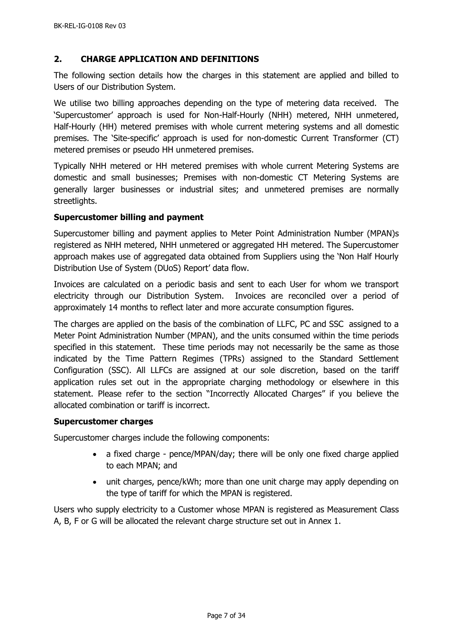## <span id="page-6-0"></span>**2. CHARGE APPLICATION AND DEFINITIONS**

The following section details how the charges in this statement are applied and billed to Users of our Distribution System.

We utilise two billing approaches depending on the type of metering data received. The 'Supercustomer' approach is used for Non-Half-Hourly (NHH) metered, NHH unmetered, Half-Hourly (HH) metered premises with whole current metering systems and all domestic premises. The 'Site-specific' approach is used for non-domestic Current Transformer (CT) metered premises or pseudo HH unmetered premises.

Typically NHH metered or HH metered premises with whole current Metering Systems are domestic and small businesses; Premises with non-domestic CT Metering Systems are generally larger businesses or industrial sites; and unmetered premises are normally streetlights.

#### <span id="page-6-1"></span>**Supercustomer billing and payment**

Supercustomer billing and payment applies to Meter Point Administration Number (MPAN)s registered as NHH metered, NHH unmetered or aggregated HH metered. The Supercustomer approach makes use of aggregated data obtained from Suppliers using the 'Non Half Hourly Distribution Use of System (DUoS) Report' data flow.

Invoices are calculated on a periodic basis and sent to each User for whom we transport electricity through our Distribution System. Invoices are reconciled over a period of approximately 14 months to reflect later and more accurate consumption figures.

The charges are applied on the basis of the combination of LLFC, PC and SSC assigned to a Meter Point Administration Number (MPAN), and the units consumed within the time periods specified in this statement. These time periods may not necessarily be the same as those indicated by the Time Pattern Regimes (TPRs) assigned to the Standard Settlement Configuration (SSC). All LLFCs are assigned at our sole discretion, based on the tariff application rules set out in the appropriate charging methodology or elsewhere in this statement. Please refer to the section "Incorrectly Allocated Charges" if you believe the allocated combination or tariff is incorrect.

#### <span id="page-6-2"></span>**Supercustomer charges**

Supercustomer charges include the following components:

- a fixed charge pence/MPAN/day; there will be only one fixed charge applied to each MPAN; and
- unit charges, pence/kWh; more than one unit charge may apply depending on the type of tariff for which the MPAN is registered.

Users who supply electricity to a Customer whose MPAN is registered as Measurement Class A, B, F or G will be allocated the relevant charge structure set out in Annex 1.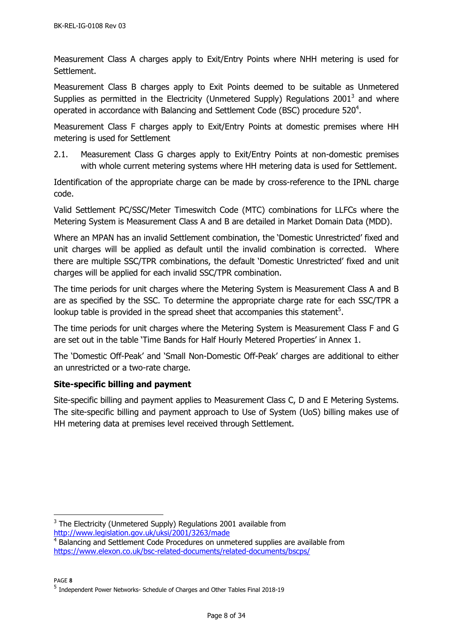Measurement Class A charges apply to Exit/Entry Points where NHH metering is used for Settlement.

Measurement Class B charges apply to Exit Points deemed to be suitable as Unmetered Supplies as permitted in the Electricity (Unmetered Supply) Regulations 2001<sup>3</sup> and where operated in accordance with Balancing and Settlement Code (BSC) procedure 520<sup>4</sup>.

Measurement Class F charges apply to Exit/Entry Points at domestic premises where HH metering is used for Settlement

2.1. Measurement Class G charges apply to Exit/Entry Points at non-domestic premises with whole current metering systems where HH metering data is used for Settlement.

Identification of the appropriate charge can be made by cross-reference to the IPNL charge code.

Valid Settlement PC/SSC/Meter Timeswitch Code (MTC) combinations for LLFCs where the Metering System is Measurement Class A and B are detailed in Market Domain Data (MDD).

Where an MPAN has an invalid Settlement combination, the 'Domestic Unrestricted' fixed and unit charges will be applied as default until the invalid combination is corrected. Where there are multiple SSC/TPR combinations, the default 'Domestic Unrestricted' fixed and unit charges will be applied for each invalid SSC/TPR combination.

The time periods for unit charges where the Metering System is Measurement Class A and B are as specified by the SSC. To determine the appropriate charge rate for each SSC/TPR a lookup table is provided in the spread sheet that accompanies this statement<sup>5</sup>.

The time periods for unit charges where the Metering System is Measurement Class F and G are set out in the table 'Time Bands for Half Hourly Metered Properties' in Annex 1.

The 'Domestic Off-Peak' and 'Small Non-Domestic Off-Peak' charges are additional to either an unrestricted or a two-rate charge.

## <span id="page-7-0"></span>**Site-specific billing and payment**

Site-specific billing and payment applies to Measurement Class C, D and E Metering Systems. The site-specific billing and payment approach to Use of System (UoS) billing makes use of HH metering data at premises level received through Settlement.

PAGE **8**

-

 $3$  The Electricity (Unmetered Supply) Regulations 2001 available from <http://www.legislation.gov.uk/uksi/2001/3263/made>

<sup>&</sup>lt;sup>4</sup> Balancing and Settlement Code Procedures on unmetered supplies are available from <https://www.elexon.co.uk/bsc-related-documents/related-documents/bscps/>

<sup>&</sup>lt;sup>5</sup> Independent Power Networks- Schedule of Charges and Other Tables Final 2018-19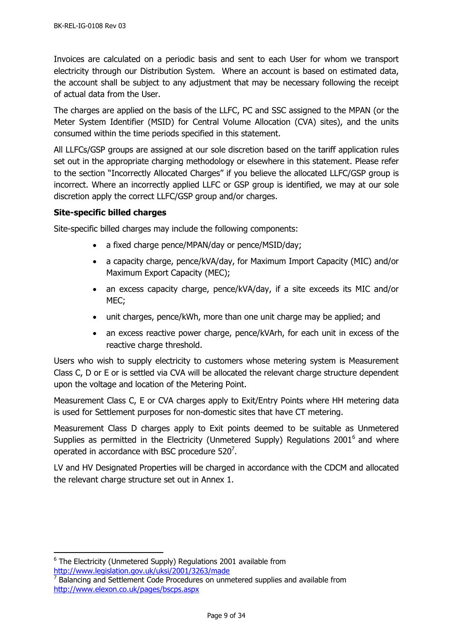Invoices are calculated on a periodic basis and sent to each User for whom we transport electricity through our Distribution System. Where an account is based on estimated data, the account shall be subject to any adjustment that may be necessary following the receipt of actual data from the User.

The charges are applied on the basis of the LLFC, PC and SSC assigned to the MPAN (or the Meter System Identifier (MSID) for Central Volume Allocation (CVA) sites), and the units consumed within the time periods specified in this statement.

All LLFCs/GSP groups are assigned at our sole discretion based on the tariff application rules set out in the appropriate charging methodology or elsewhere in this statement. Please refer to the section "Incorrectly Allocated Charges" if you believe the allocated LLFC/GSP group is incorrect. Where an incorrectly applied LLFC or GSP group is identified, we may at our sole discretion apply the correct LLFC/GSP group and/or charges.

## <span id="page-8-0"></span>**Site-specific billed charges**

Site-specific billed charges may include the following components:

- a fixed charge pence/MPAN/day or pence/MSID/day;
- a capacity charge, pence/kVA/day, for Maximum Import Capacity (MIC) and/or Maximum Export Capacity (MEC);
- an excess capacity charge, pence/kVA/day, if a site exceeds its MIC and/or MEC;
- unit charges, pence/kWh, more than one unit charge may be applied; and
- an excess reactive power charge, pence/kVArh, for each unit in excess of the reactive charge threshold.

Users who wish to supply electricity to customers whose metering system is Measurement Class C, D or E or is settled via CVA will be allocated the relevant charge structure dependent upon the voltage and location of the Metering Point.

Measurement Class C, E or CVA charges apply to Exit/Entry Points where HH metering data is used for Settlement purposes for non-domestic sites that have CT metering.

Measurement Class D charges apply to Exit points deemed to be suitable as Unmetered Supplies as permitted in the Electricity (Unmetered Supply) Regulations 2001<sup>6</sup> and where operated in accordance with BSC procedure 520<sup>7</sup>.

LV and HV Designated Properties will be charged in accordance with the CDCM and allocated the relevant charge structure set out in Annex 1.

 $\overline{a}$ 

 $6$  The Electricity (Unmetered Supply) Regulations 2001 available from <http://www.legislation.gov.uk/uksi/2001/3263/made>

 $7$  Balancing and Settlement Code Procedures on unmetered supplies and available from <http://www.elexon.co.uk/pages/bscps.aspx>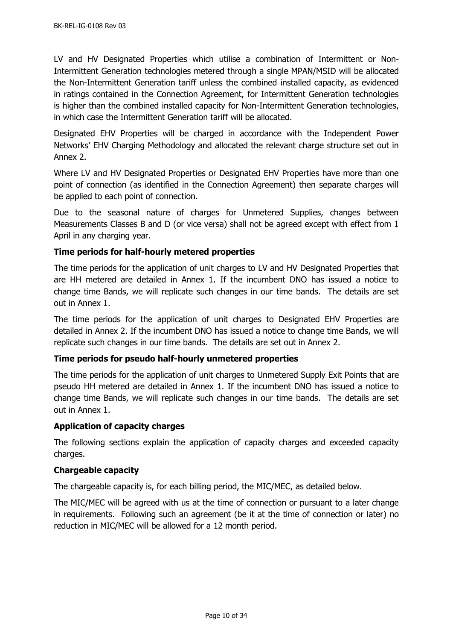LV and HV Designated Properties which utilise a combination of Intermittent or Non-Intermittent Generation technologies metered through a single MPAN/MSID will be allocated the Non-Intermittent Generation tariff unless the combined installed capacity, as evidenced in ratings contained in the Connection Agreement, for Intermittent Generation technologies is higher than the combined installed capacity for Non-Intermittent Generation technologies, in which case the Intermittent Generation tariff will be allocated.

Designated EHV Properties will be charged in accordance with the Independent Power Networks' EHV Charging Methodology and allocated the relevant charge structure set out in Annex 2.

Where LV and HV Designated Properties or Designated EHV Properties have more than one point of connection (as identified in the Connection Agreement) then separate charges will be applied to each point of connection.

Due to the seasonal nature of charges for Unmetered Supplies, changes between Measurements Classes B and D (or vice versa) shall not be agreed except with effect from 1 April in any charging year.

# <span id="page-9-0"></span>**Time periods for half-hourly metered properties**

The time periods for the application of unit charges to LV and HV Designated Properties that are HH metered are detailed in Annex 1. If the incumbent DNO has issued a notice to change time Bands, we will replicate such changes in our time bands. The details are set out in Annex 1.

The time periods for the application of unit charges to Designated EHV Properties are detailed in Annex 2. If the incumbent DNO has issued a notice to change time Bands, we will replicate such changes in our time bands. The details are set out in Annex 2.

## <span id="page-9-1"></span>**Time periods for pseudo half-hourly unmetered properties**

The time periods for the application of unit charges to Unmetered Supply Exit Points that are pseudo HH metered are detailed in Annex 1. If the incumbent DNO has issued a notice to change time Bands, we will replicate such changes in our time bands. The details are set out in Annex 1.

#### <span id="page-9-2"></span>**Application of capacity charges**

The following sections explain the application of capacity charges and exceeded capacity charges.

## <span id="page-9-3"></span>**Chargeable capacity**

The chargeable capacity is, for each billing period, the MIC/MEC, as detailed below.

The MIC/MEC will be agreed with us at the time of connection or pursuant to a later change in requirements. Following such an agreement (be it at the time of connection or later) no reduction in MIC/MEC will be allowed for a 12 month period.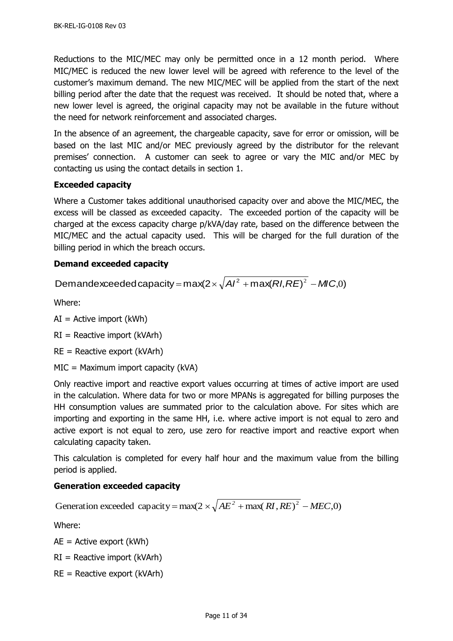Reductions to the MIC/MEC may only be permitted once in a 12 month period. Where MIC/MEC is reduced the new lower level will be agreed with reference to the level of the customer's maximum demand. The new MIC/MEC will be applied from the start of the next billing period after the date that the request was received. It should be noted that, where a new lower level is agreed, the original capacity may not be available in the future without the need for network reinforcement and associated charges.

In the absence of an agreement, the chargeable capacity, save for error or omission, will be based on the last MIC and/or MEC previously agreed by the distributor for the relevant premises' connection. A customer can seek to agree or vary the MIC and/or MEC by contacting us using the contact details in section [1.](#page-4-0)

## <span id="page-10-0"></span>**Exceeded capacity**

Where a Customer takes additional unauthorised capacity over and above the MIC/MEC, the excess will be classed as exceeded capacity. The exceeded portion of the capacity will be charged at the excess capacity charge p/kVA/day rate, based on the difference between the MIC/MEC and the actual capacity used. This will be charged for the full duration of the billing period in which the breach occurs.

## <span id="page-10-1"></span>**Demand exceeded capacity**

Demandexceeded capacity = max(2  $\times$   $\sqrt{A}$ /<sup>2</sup> + max(*RI*, *RE*)<sup>2</sup> - *MIC*,0)

Where:

 $AI =$  Active import (kWh)

 $RI =$  Reactive import (kVArh)

 $RE =$  Reactive export (kVArh)

MIC = Maximum import capacity (kVA)

Only reactive import and reactive export values occurring at times of active import are used in the calculation. Where data for two or more MPANs is aggregated for billing purposes the HH consumption values are summated prior to the calculation above. For sites which are importing and exporting in the same HH, i.e. where active import is not equal to zero and active export is not equal to zero, use zero for reactive import and reactive export when calculating capacity taken.

This calculation is completed for every half hour and the maximum value from the billing period is applied.

## <span id="page-10-2"></span>**Generation exceeded capacity**

Generation exceeded capacity =  $max(2 \times \sqrt{AE^2 + max(RI, RE)^2 - MEC, 0})$ 

Where:

 $AE =$  Active export (kWh)

 $RI =$  Reactive import (kVArh)

 $RE =$  Reactive export (kVArh)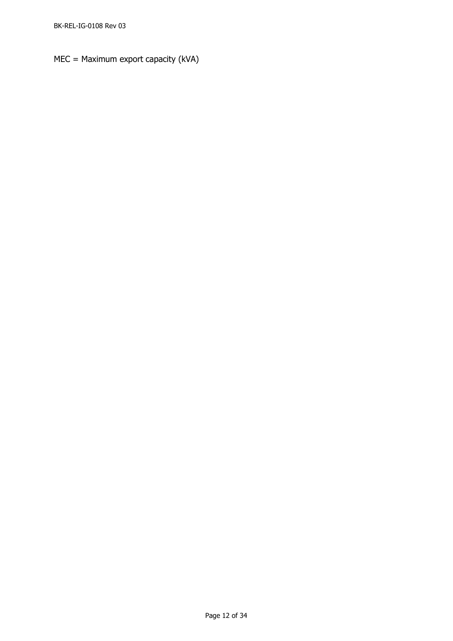MEC = Maximum export capacity (kVA)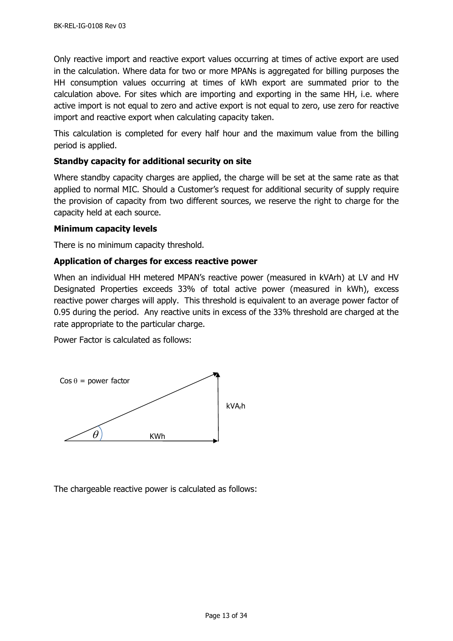Only reactive import and reactive export values occurring at times of active export are used in the calculation. Where data for two or more MPANs is aggregated for billing purposes the HH consumption values occurring at times of kWh export are summated prior to the calculation above. For sites which are importing and exporting in the same HH, i.e. where active import is not equal to zero and active export is not equal to zero, use zero for reactive import and reactive export when calculating capacity taken.

This calculation is completed for every half hour and the maximum value from the billing period is applied.

## <span id="page-12-0"></span>**Standby capacity for additional security on site**

Where standby capacity charges are applied, the charge will be set at the same rate as that applied to normal MIC. Should a Customer's request for additional security of supply require the provision of capacity from two different sources, we reserve the right to charge for the capacity held at each source.

#### <span id="page-12-1"></span>**Minimum capacity levels**

There is no minimum capacity threshold.

#### <span id="page-12-2"></span>**Application of charges for excess reactive power**

When an individual HH metered MPAN's reactive power (measured in kVArh) at LV and HV Designated Properties exceeds 33% of total active power (measured in kWh), excess reactive power charges will apply. This threshold is equivalent to an average power factor of 0.95 during the period. Any reactive units in excess of the 33% threshold are charged at the rate appropriate to the particular charge.

Power Factor is calculated as follows:



<span id="page-12-3"></span>The chargeable reactive power is calculated as follows: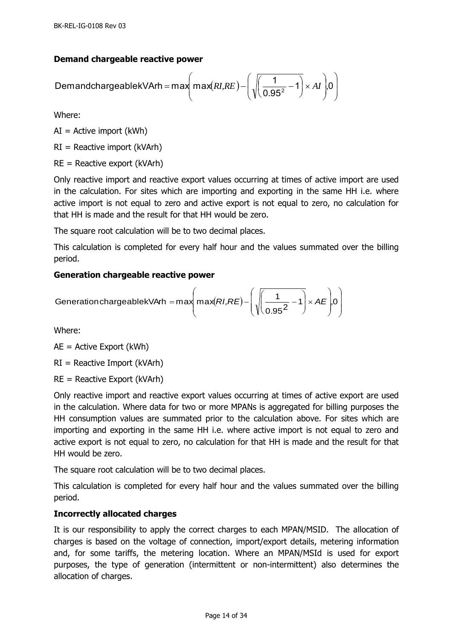# **Demand chargeable reactive power**

$$
DemandchargeablekVArh = max(max(RI,RE) - \left(\sqrt{\left(\frac{1}{0.95^2} - 1\right)} \times AI\right) 0\right)
$$

Where:

 $AI =$  Active import (kWh)

RI = Reactive import (kVArh)

 $RE =$  Reactive export (kVArh)

Only reactive import and reactive export values occurring at times of active import are used in the calculation. For sites which are importing and exporting in the same HH i.e. where active import is not equal to zero and active export is not equal to zero, no calculation for that HH is made and the result for that HH would be zero.

The square root calculation will be to two decimal places.

This calculation is completed for every half hour and the values summated over the billing period.

# <span id="page-13-0"></span>**Generation chargeable reactive power**

$$
Generation chargeablekVArh = max\left(max(RI,RE) - \left(\sqrt{\frac{1}{0.95^2} - 1}\right) \times AE\right)0
$$

Where:

AE = Active Export (kWh)

 $RI =$  Reactive Import (kVArh)

 $RE =$  Reactive Export (kVArh)

Only reactive import and reactive export values occurring at times of active export are used in the calculation. Where data for two or more MPANs is aggregated for billing purposes the HH consumption values are summated prior to the calculation above. For sites which are importing and exporting in the same HH i.e. where active import is not equal to zero and active export is not equal to zero, no calculation for that HH is made and the result for that HH would be zero.

The square root calculation will be to two decimal places.

This calculation is completed for every half hour and the values summated over the billing period.

# <span id="page-13-1"></span>**Incorrectly allocated charges**

It is our responsibility to apply the correct charges to each MPAN/MSID. The allocation of charges is based on the voltage of connection, import/export details, metering information and, for some tariffs, the metering location. Where an MPAN/MSId is used for export purposes, the type of generation (intermittent or non-intermittent) also determines the allocation of charges.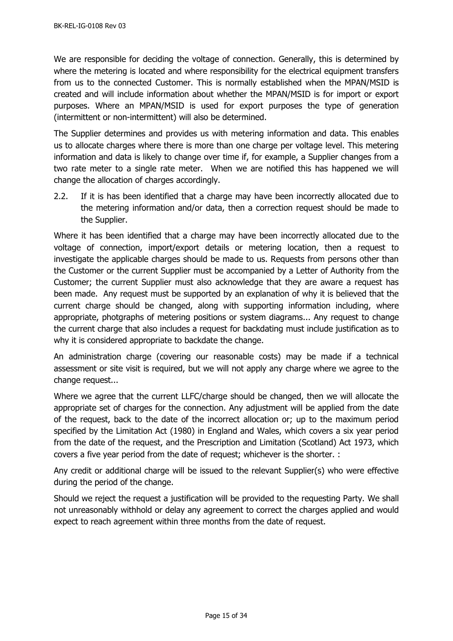We are responsible for deciding the voltage of connection. Generally, this is determined by where the metering is located and where responsibility for the electrical equipment transfers from us to the connected Customer. This is normally established when the MPAN/MSID is created and will include information about whether the MPAN/MSID is for import or export purposes. Where an MPAN/MSID is used for export purposes the type of generation (intermittent or non-intermittent) will also be determined.

The Supplier determines and provides us with metering information and data. This enables us to allocate charges where there is more than one charge per voltage level. This metering information and data is likely to change over time if, for example, a Supplier changes from a two rate meter to a single rate meter. When we are notified this has happened we will change the allocation of charges accordingly.

2.2. If it is has been identified that a charge may have been incorrectly allocated due to the metering information and/or data, then a correction request should be made to the Supplier.

Where it has been identified that a charge may have been incorrectly allocated due to the voltage of connection, import/export details or metering location, then a request to investigate the applicable charges should be made to us. Requests from persons other than the Customer or the current Supplier must be accompanied by a Letter of Authority from the Customer; the current Supplier must also acknowledge that they are aware a request has been made. Any request must be supported by an explanation of why it is believed that the current charge should be changed, along with supporting information including, where appropriate, photgraphs of metering positions or system diagrams... Any request to change the current charge that also includes a request for backdating must include justification as to why it is considered appropriate to backdate the change.

An administration charge (covering our reasonable costs) may be made if a technical assessment or site visit is required, but we will not apply any charge where we agree to the change request...

Where we agree that the current LLFC/charge should be changed, then we will allocate the appropriate set of charges for the connection. Any adjustment will be applied from the date of the request, back to the date of the incorrect allocation or; up to the maximum period specified by the Limitation Act (1980) in England and Wales, which covers a six year period from the date of the request, and the Prescription and Limitation (Scotland) Act 1973, which covers a five year period from the date of request; whichever is the shorter. :

Any credit or additional charge will be issued to the relevant Supplier(s) who were effective during the period of the change.

Should we reject the request a justification will be provided to the requesting Party. We shall not unreasonably withhold or delay any agreement to correct the charges applied and would expect to reach agreement within three months from the date of request.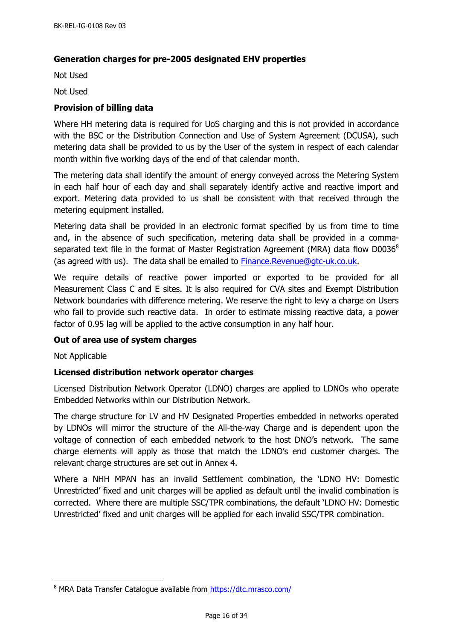## <span id="page-15-0"></span>**Generation charges for pre-2005 designated EHV properties**

Not Used

Not Used

#### <span id="page-15-1"></span>**Provision of billing data**

Where HH metering data is required for UoS charging and this is not provided in accordance with the BSC or the Distribution Connection and Use of System Agreement (DCUSA), such metering data shall be provided to us by the User of the system in respect of each calendar month within five working days of the end of that calendar month.

The metering data shall identify the amount of energy conveyed across the Metering System in each half hour of each day and shall separately identify active and reactive import and export. Metering data provided to us shall be consistent with that received through the metering equipment installed.

Metering data shall be provided in an electronic format specified by us from time to time and, in the absence of such specification, metering data shall be provided in a commaseparated text file in the format of Master Registration Agreement (MRA) data flow  $D0036^8$ (as agreed with us). The data shall be emailed to **Finance.Revenue@gtc-uk.co.uk.** 

We require details of reactive power imported or exported to be provided for all Measurement Class C and E sites. It is also required for CVA sites and Exempt Distribution Network boundaries with difference metering. We reserve the right to levy a charge on Users who fail to provide such reactive data. In order to estimate missing reactive data, a power factor of 0.95 lag will be applied to the active consumption in any half hour.

#### <span id="page-15-2"></span>**Out of area use of system charges**

Not Applicable

j

#### <span id="page-15-3"></span>**Licensed distribution network operator charges**

Licensed Distribution Network Operator (LDNO) charges are applied to LDNOs who operate Embedded Networks within our Distribution Network.

The charge structure for LV and HV Designated Properties embedded in networks operated by LDNOs will mirror the structure of the All-the-way Charge and is dependent upon the voltage of connection of each embedded network to the host DNO's network. The same charge elements will apply as those that match the LDNO's end customer charges. The relevant charge structures are set out in Annex 4.

Where a NHH MPAN has an invalid Settlement combination, the 'LDNO HV: Domestic Unrestricted' fixed and unit charges will be applied as default until the invalid combination is corrected. Where there are multiple SSC/TPR combinations, the default 'LDNO HV: Domestic Unrestricted' fixed and unit charges will be applied for each invalid SSC/TPR combination.

<sup>&</sup>lt;sup>8</sup> MRA Data Transfer Catalogue available from<https://dtc.mrasco.com/>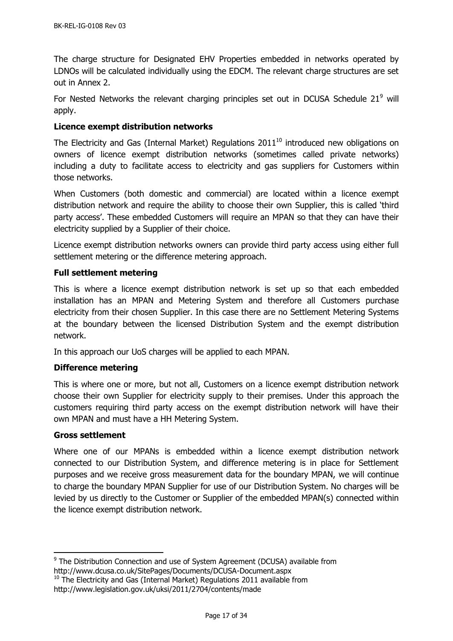The charge structure for Designated EHV Properties embedded in networks operated by LDNOs will be calculated individually using the EDCM. The relevant charge structures are set out in Annex 2.

For Nested Networks the relevant charging principles set out in DCUSA Schedule  $21<sup>9</sup>$  will apply.

## <span id="page-16-0"></span>**Licence exempt distribution networks**

The Electricity and Gas (Internal Market) Regulations 2011 $^{10}$  introduced new obligations on owners of licence exempt distribution networks (sometimes called private networks) including a duty to facilitate access to electricity and gas suppliers for Customers within those networks.

When Customers (both domestic and commercial) are located within a licence exempt distribution network and require the ability to choose their own Supplier, this is called 'third party access'. These embedded Customers will require an MPAN so that they can have their electricity supplied by a Supplier of their choice.

Licence exempt distribution networks owners can provide third party access using either full settlement metering or the difference metering approach.

## <span id="page-16-1"></span>**Full settlement metering**

This is where a licence exempt distribution network is set up so that each embedded installation has an MPAN and Metering System and therefore all Customers purchase electricity from their chosen Supplier. In this case there are no Settlement Metering Systems at the boundary between the licensed Distribution System and the exempt distribution network.

In this approach our UoS charges will be applied to each MPAN.

## <span id="page-16-2"></span>**Difference metering**

This is where one or more, but not all, Customers on a licence exempt distribution network choose their own Supplier for electricity supply to their premises. Under this approach the customers requiring third party access on the exempt distribution network will have their own MPAN and must have a HH Metering System.

#### <span id="page-16-3"></span>**Gross settlement**

 $\overline{a}$ 

Where one of our MPANs is embedded within a licence exempt distribution network connected to our Distribution System, and difference metering is in place for Settlement purposes and we receive gross measurement data for the boundary MPAN, we will continue to charge the boundary MPAN Supplier for use of our Distribution System. No charges will be levied by us directly to the Customer or Supplier of the embedded MPAN(s) connected within the licence exempt distribution network.

<sup>&</sup>lt;sup>9</sup> The Distribution Connection and use of System Agreement (DCUSA) available from http://www.dcusa.co.uk/SitePages/Documents/DCUSA-Document.aspx

 $10$  The Electricity and Gas (Internal Market) Regulations 2011 available from http://www.legislation.gov.uk/uksi/2011/2704/contents/made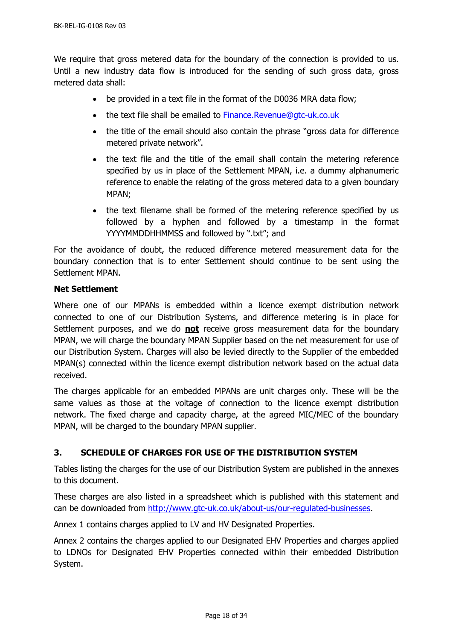We require that gross metered data for the boundary of the connection is provided to us. Until a new industry data flow is introduced for the sending of such gross data, gross metered data shall:

- be provided in a text file in the format of the D0036 MRA data flow:
- the text file shall be emailed to [Finance.Revenue@gtc-uk.co.uk](mailto:Finance.Revenue@gtc-uk.co.uk)
- the title of the email should also contain the phrase "gross data for difference metered private network".
- the text file and the title of the email shall contain the metering reference specified by us in place of the Settlement MPAN, i.e. a dummy alphanumeric reference to enable the relating of the gross metered data to a given boundary MPAN;
- the text filename shall be formed of the metering reference specified by us followed by a hyphen and followed by a timestamp in the format YYYYMMDDHHMMSS and followed by ".txt"; and

For the avoidance of doubt, the reduced difference metered measurement data for the boundary connection that is to enter Settlement should continue to be sent using the Settlement MPAN.

## <span id="page-17-0"></span>**Net Settlement**

Where one of our MPANs is embedded within a licence exempt distribution network connected to one of our Distribution Systems, and difference metering is in place for Settlement purposes, and we do **not** receive gross measurement data for the boundary MPAN, we will charge the boundary MPAN Supplier based on the net measurement for use of our Distribution System. Charges will also be levied directly to the Supplier of the embedded MPAN(s) connected within the licence exempt distribution network based on the actual data received.

The charges applicable for an embedded MPANs are unit charges only. These will be the same values as those at the voltage of connection to the licence exempt distribution network. The fixed charge and capacity charge, at the agreed MIC/MEC of the boundary MPAN, will be charged to the boundary MPAN supplier.

# <span id="page-17-1"></span>**3. SCHEDULE OF CHARGES FOR USE OF THE DISTRIBUTION SYSTEM**

Tables listing the charges for the use of our Distribution System are published in the annexes to this document.

These charges are also listed in a spreadsheet which is published with this statement and can be downloaded from [http://www.gtc-uk.co.uk/about-us/our-regulated-businesses.](http://www.gtc-uk.co.uk/about-us/our-regulated-businesses)

Annex 1 contains charges applied to LV and HV Designated Properties.

Annex 2 contains the charges applied to our Designated EHV Properties and charges applied to LDNOs for Designated EHV Properties connected within their embedded Distribution System.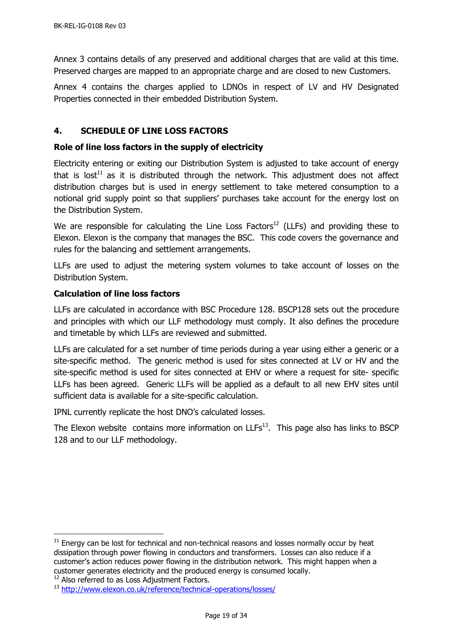Annex 3 contains details of any preserved and additional charges that are valid at this time. Preserved charges are mapped to an appropriate charge and are closed to new Customers.

Annex 4 contains the charges applied to LDNOs in respect of LV and HV Designated Properties connected in their embedded Distribution System.

# <span id="page-18-0"></span>**4. SCHEDULE OF LINE LOSS FACTORS**

## <span id="page-18-1"></span>**Role of line loss factors in the supply of electricity**

Electricity entering or exiting our Distribution System is adjusted to take account of energy that is lost<sup>11</sup> as it is distributed through the network. This adjustment does not affect distribution charges but is used in energy settlement to take metered consumption to a notional grid supply point so that suppliers' purchases take account for the energy lost on the Distribution System.

We are responsible for calculating the Line Loss Factors<sup>12</sup> (LLFs) and providing these to Elexon. Elexon is the company that manages the BSC. This code covers the governance and rules for the balancing and settlement arrangements.

LLFs are used to adjust the metering system volumes to take account of losses on the Distribution System.

## <span id="page-18-2"></span>**Calculation of line loss factors**

LLFs are calculated in accordance with BSC Procedure 128. BSCP128 sets out the procedure and principles with which our LLF methodology must comply. It also defines the procedure and timetable by which LLFs are reviewed and submitted.

LLFs are calculated for a set number of time periods during a year using either a generic or a site-specific method. The generic method is used for sites connected at LV or HV and the site-specific method is used for sites connected at EHV or where a request for site- specific LLFs has been agreed. Generic LLFs will be applied as a default to all new EHV sites until sufficient data is available for a site-specific calculation.

IPNL currently replicate the host DNO's calculated losses.

<span id="page-18-3"></span>The Elexon website contains more information on  $LLFs<sup>13</sup>$ . This page also has links to BSCP 128 and to our LLF methodology.

-

 $11$  Energy can be lost for technical and non-technical reasons and losses normally occur by heat dissipation through power flowing in conductors and transformers. Losses can also reduce if a customer's action reduces power flowing in the distribution network. This might happen when a customer generates electricity and the produced energy is consumed locally.

<sup>&</sup>lt;sup>12</sup> Also referred to as Loss Adjustment Factors.

<sup>13</sup> <http://www.elexon.co.uk/reference/technical-operations/losses/>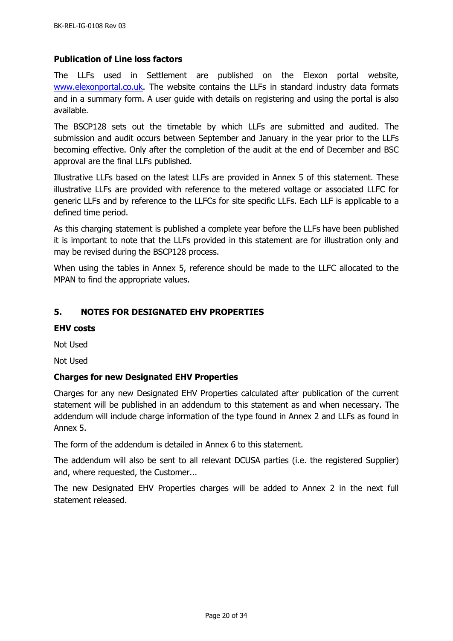## **Publication of Line loss factors**

The LLFs used in Settlement are published on the Elexon portal website, [www.elexonportal.co.uk.](http://www.elexonportal.co.uk/) The website contains the LLFs in standard industry data formats and in a summary form. A user guide with details on registering and using the portal is also available.

The BSCP128 sets out the timetable by which LLFs are submitted and audited. The submission and audit occurs between September and January in the year prior to the LLFs becoming effective. Only after the completion of the audit at the end of December and BSC approval are the final LLFs published.

Illustrative LLFs based on the latest LLFs are provided in Annex 5 of this statement. These illustrative LLFs are provided with reference to the metered voltage or associated LLFC for generic LLFs and by reference to the LLFCs for site specific LLFs. Each LLF is applicable to a defined time period.

As this charging statement is published a complete year before the LLFs have been published it is important to note that the LLFs provided in this statement are for illustration only and may be revised during the BSCP128 process.

When using the tables in Annex 5, reference should be made to the LLFC allocated to the MPAN to find the appropriate values.

## <span id="page-19-0"></span>**5. NOTES FOR DESIGNATED EHV PROPERTIES**

#### <span id="page-19-1"></span>**EHV costs**

Not Used

Not Used

#### <span id="page-19-2"></span>**Charges for new Designated EHV Properties**

Charges for any new Designated EHV Properties calculated after publication of the current statement will be published in an addendum to this statement as and when necessary. The addendum will include charge information of the type found in Annex 2 and LLFs as found in Annex 5.

The form of the addendum is detailed in Annex 6 to this statement.

The addendum will also be sent to all relevant DCUSA parties (i.e. the registered Supplier) and, where requested, the Customer...

The new Designated EHV Properties charges will be added to Annex 2 in the next full statement released.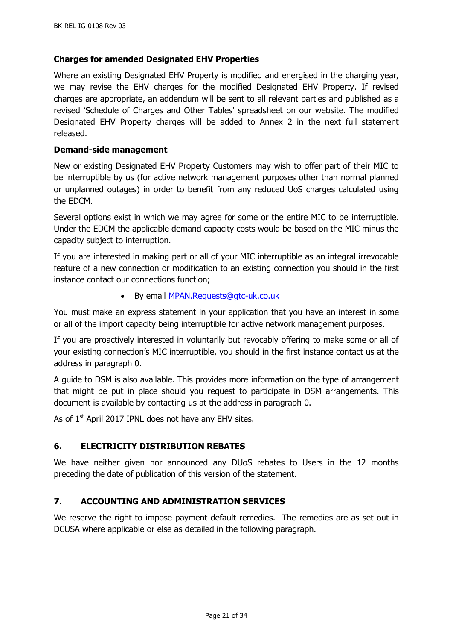#### <span id="page-20-0"></span>**Charges for amended Designated EHV Properties**

Where an existing Designated EHV Property is modified and energised in the charging year, we may revise the EHV charges for the modified Designated EHV Property. If revised charges are appropriate, an addendum will be sent to all relevant parties and published as a revised 'Schedule of Charges and Other Tables' spreadsheet on our website. The modified Designated EHV Property charges will be added to Annex 2 in the next full statement released.

#### <span id="page-20-1"></span>**Demand-side management**

New or existing Designated EHV Property Customers may wish to offer part of their MIC to be interruptible by us (for active network management purposes other than normal planned or unplanned outages) in order to benefit from any reduced UoS charges calculated using the EDCM.

Several options exist in which we may agree for some or the entire MIC to be interruptible. Under the EDCM the applicable demand capacity costs would be based on the MIC minus the capacity subject to interruption.

If you are interested in making part or all of your MIC interruptible as an integral irrevocable feature of a new connection or modification to an existing connection you should in the first instance contact our connections function;

By email [MPAN.Requests@gtc-uk.co.uk](mailto:MPAN.Requests@gtc-uk.co.uk)

You must make an express statement in your application that you have an interest in some or all of the import capacity being interruptible for active network management purposes.

If you are proactively interested in voluntarily but revocably offering to make some or all of your existing connection's MIC interruptible, you should in the first instance contact us at the address in paragraph [0.](#page-5-1)

A guide to DSM is also available. This provides more information on the type of arrangement that might be put in place should you request to participate in DSM arrangements. This document is available by contacting us at the address in paragraph [0.](#page-5-1)

As of 1<sup>st</sup> April 2017 IPNL does not have any EHV sites.

## <span id="page-20-2"></span>**6. ELECTRICITY DISTRIBUTION REBATES**

We have neither given nor announced any DUoS rebates to Users in the 12 months preceding the date of publication of this version of the statement.

## <span id="page-20-3"></span>**7. ACCOUNTING AND ADMINISTRATION SERVICES**

We reserve the right to impose payment default remedies. The remedies are as set out in DCUSA where applicable or else as detailed in the following paragraph.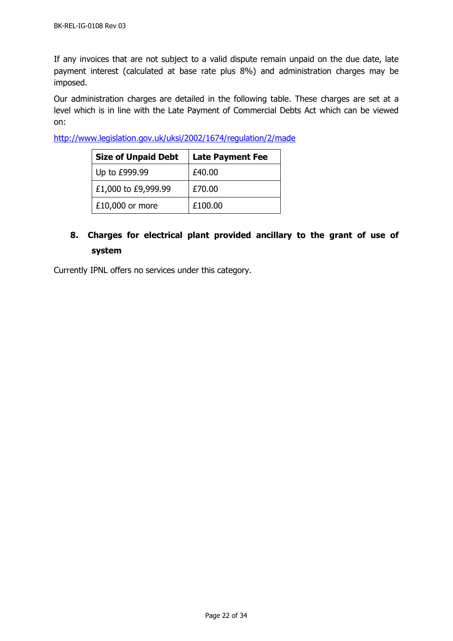If any invoices that are not subject to a valid dispute remain unpaid on the due date, late payment interest (calculated at base rate plus 8%) and administration charges may be imposed.

Our administration charges are detailed in the following table. These charges are set at a level which is in line with the Late Payment of Commercial Debts Act which can be viewed on:

<http://www.legislation.gov.uk/uksi/2002/1674/regulation/2/made>

| <b>Size of Unpaid Debt</b> | <b>Late Payment Fee</b> |
|----------------------------|-------------------------|
| Up to £999.99              | £40.00                  |
| £1,000 to £9,999.99        | £70.00                  |
| $£10,000$ or more          | £100.00                 |

# <span id="page-21-0"></span>**8. Charges for electrical plant provided ancillary to the grant of use of system**

Currently IPNL offers no services under this category.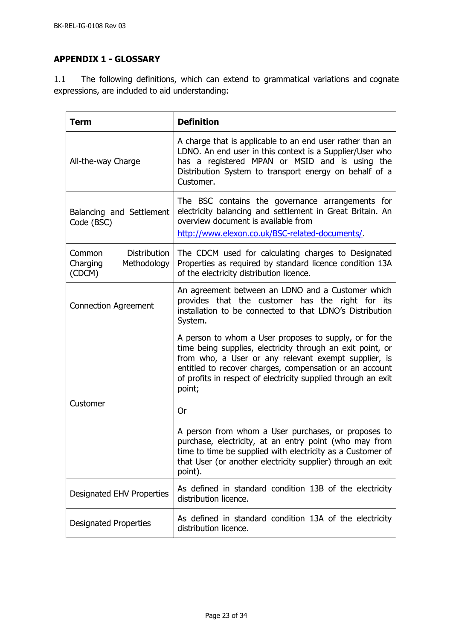# <span id="page-22-0"></span>**APPENDIX 1 - GLOSSARY**

1.1 The following definitions, which can extend to grammatical variations and cognate expressions, are included to aid understanding:

| <b>Term</b>                                                        | <b>Definition</b>                                                                                                                                                                                                                                                                                                  |
|--------------------------------------------------------------------|--------------------------------------------------------------------------------------------------------------------------------------------------------------------------------------------------------------------------------------------------------------------------------------------------------------------|
| All-the-way Charge                                                 | A charge that is applicable to an end user rather than an<br>LDNO. An end user in this context is a Supplier/User who<br>has a registered MPAN or MSID and is using the<br>Distribution System to transport energy on behalf of a<br>Customer.                                                                     |
| Balancing and Settlement<br>Code (BSC)                             | The BSC contains the governance arrangements for<br>electricity balancing and settlement in Great Britain. An<br>overview document is available from<br>http://www.elexon.co.uk/BSC-related-documents/.                                                                                                            |
| <b>Distribution</b><br>Common<br>Charging<br>Methodology<br>(CDCM) | The CDCM used for calculating charges to Designated<br>Properties as required by standard licence condition 13A<br>of the electricity distribution licence.                                                                                                                                                        |
| <b>Connection Agreement</b>                                        | An agreement between an LDNO and a Customer which<br>provides that the customer has the right for its<br>installation to be connected to that LDNO's Distribution<br>System.                                                                                                                                       |
|                                                                    | A person to whom a User proposes to supply, or for the<br>time being supplies, electricity through an exit point, or<br>from who, a User or any relevant exempt supplier, is<br>entitled to recover charges, compensation or an account<br>of profits in respect of electricity supplied through an exit<br>point; |
| Customer                                                           | <b>Or</b>                                                                                                                                                                                                                                                                                                          |
|                                                                    | A person from whom a User purchases, or proposes to<br>purchase, electricity, at an entry point (who may from<br>time to time be supplied with electricity as a Customer of<br>that User (or another electricity supplier) through an exit<br>point).                                                              |
| Designated EHV Properties                                          | As defined in standard condition 13B of the electricity<br>distribution licence.                                                                                                                                                                                                                                   |
| <b>Designated Properties</b>                                       | As defined in standard condition 13A of the electricity<br>distribution licence.                                                                                                                                                                                                                                   |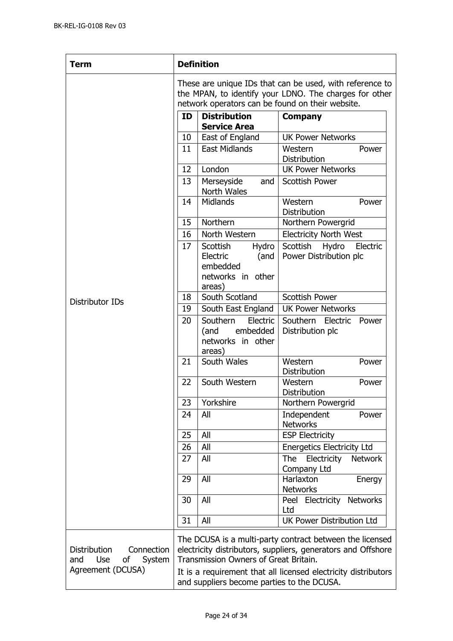| <b>Term</b>                                                                                 | <b>Definition</b>                                                                                                                                                      |                                                                                  |                                                                                                                                                                                            |
|---------------------------------------------------------------------------------------------|------------------------------------------------------------------------------------------------------------------------------------------------------------------------|----------------------------------------------------------------------------------|--------------------------------------------------------------------------------------------------------------------------------------------------------------------------------------------|
|                                                                                             | These are unique IDs that can be used, with reference to<br>the MPAN, to identify your LDNO. The charges for other<br>network operators can be found on their website. |                                                                                  |                                                                                                                                                                                            |
|                                                                                             | ID                                                                                                                                                                     | <b>Distribution</b><br><b>Service Area</b>                                       | <b>Company</b>                                                                                                                                                                             |
|                                                                                             | 10                                                                                                                                                                     | East of England                                                                  | <b>UK Power Networks</b>                                                                                                                                                                   |
|                                                                                             | 11                                                                                                                                                                     | <b>East Midlands</b>                                                             | Western<br>Power<br><b>Distribution</b>                                                                                                                                                    |
|                                                                                             | 12                                                                                                                                                                     | London                                                                           | <b>UK Power Networks</b>                                                                                                                                                                   |
|                                                                                             | 13                                                                                                                                                                     | Merseyside<br>and<br>North Wales                                                 | <b>Scottish Power</b>                                                                                                                                                                      |
|                                                                                             | 14                                                                                                                                                                     | <b>Midlands</b>                                                                  | Western<br>Power<br>Distribution                                                                                                                                                           |
|                                                                                             | 15                                                                                                                                                                     | <b>Northern</b>                                                                  | Northern Powergrid                                                                                                                                                                         |
|                                                                                             | 16                                                                                                                                                                     | North Western                                                                    | <b>Electricity North West</b>                                                                                                                                                              |
|                                                                                             | 17                                                                                                                                                                     | Scottish<br>Hydro<br>Electric<br>(and<br>embedded<br>networks in other<br>areas) | Scottish<br>Hydro<br>Electric<br>Power Distribution plc                                                                                                                                    |
| Distributor IDs                                                                             | 18                                                                                                                                                                     | South Scotland                                                                   | <b>Scottish Power</b>                                                                                                                                                                      |
|                                                                                             | 19                                                                                                                                                                     | South East England                                                               | <b>UK Power Networks</b>                                                                                                                                                                   |
|                                                                                             | 20                                                                                                                                                                     | Southern<br>Electric<br>embedded<br>(and<br>networks in other<br>areas)          | Southern Electric<br>Power<br>Distribution plc                                                                                                                                             |
|                                                                                             | 21                                                                                                                                                                     | South Wales                                                                      | Western<br>Power<br>Distribution                                                                                                                                                           |
|                                                                                             | 22                                                                                                                                                                     | South Western                                                                    | Western<br>Power<br>Distribution                                                                                                                                                           |
|                                                                                             | 23                                                                                                                                                                     | Yorkshire                                                                        | Northern Powergrid                                                                                                                                                                         |
|                                                                                             | 24                                                                                                                                                                     | All                                                                              | Independent<br>Power<br><b>Networks</b>                                                                                                                                                    |
|                                                                                             | 25                                                                                                                                                                     | All                                                                              | <b>ESP Electricity</b>                                                                                                                                                                     |
|                                                                                             | 26                                                                                                                                                                     | All                                                                              | <b>Energetics Electricity Ltd</b>                                                                                                                                                          |
|                                                                                             | 27                                                                                                                                                                     | All                                                                              | Electricity<br><b>The</b><br><b>Network</b><br>Company Ltd                                                                                                                                 |
|                                                                                             | 29                                                                                                                                                                     | All                                                                              | Harlaxton<br>Energy<br><b>Networks</b>                                                                                                                                                     |
|                                                                                             | 30                                                                                                                                                                     | All                                                                              | Peel Electricity Networks<br>Ltd                                                                                                                                                           |
|                                                                                             | 31                                                                                                                                                                     | All                                                                              | <b>UK Power Distribution Ltd</b>                                                                                                                                                           |
| <b>Distribution</b><br>Connection<br><b>Use</b><br>System<br>and<br>οf<br>Agreement (DCUSA) |                                                                                                                                                                        | Transmission Owners of Great Britain.                                            | The DCUSA is a multi-party contract between the licensed<br>electricity distributors, suppliers, generators and Offshore<br>It is a requirement that all licensed electricity distributors |
|                                                                                             | and suppliers become parties to the DCUSA.                                                                                                                             |                                                                                  |                                                                                                                                                                                            |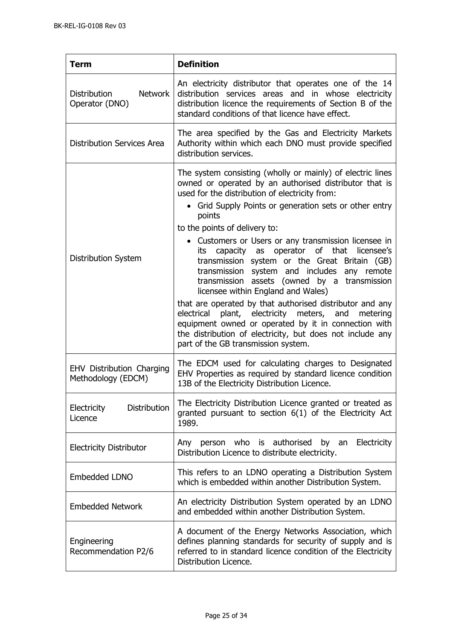| <b>Term</b>                                             | <b>Definition</b>                                                                                                                                                                                                                                                                                                                                                                                                                                                                                                                                                                                                                                                                                                                                                                                                                                               |  |
|---------------------------------------------------------|-----------------------------------------------------------------------------------------------------------------------------------------------------------------------------------------------------------------------------------------------------------------------------------------------------------------------------------------------------------------------------------------------------------------------------------------------------------------------------------------------------------------------------------------------------------------------------------------------------------------------------------------------------------------------------------------------------------------------------------------------------------------------------------------------------------------------------------------------------------------|--|
| <b>Distribution</b><br><b>Network</b><br>Operator (DNO) | An electricity distributor that operates one of the 14<br>distribution services areas and in whose electricity<br>distribution licence the requirements of Section B of the<br>standard conditions of that licence have effect.                                                                                                                                                                                                                                                                                                                                                                                                                                                                                                                                                                                                                                 |  |
| <b>Distribution Services Area</b>                       | The area specified by the Gas and Electricity Markets<br>Authority within which each DNO must provide specified<br>distribution services.                                                                                                                                                                                                                                                                                                                                                                                                                                                                                                                                                                                                                                                                                                                       |  |
| Distribution System                                     | The system consisting (wholly or mainly) of electric lines<br>owned or operated by an authorised distributor that is<br>used for the distribution of electricity from:<br>• Grid Supply Points or generation sets or other entry<br>points<br>to the points of delivery to:<br>• Customers or Users or any transmission licensee in<br>capacity as operator of that<br>licensee's<br>its<br>transmission system or the Great Britain (GB)<br>transmission system and includes any remote<br>transmission assets (owned by a transmission<br>licensee within England and Wales)<br>that are operated by that authorised distributor and any<br>plant, electricity meters, and metering<br>electrical<br>equipment owned or operated by it in connection with<br>the distribution of electricity, but does not include any<br>part of the GB transmission system. |  |
| <b>EHV Distribution Charging</b><br>Methodology (EDCM)  | The EDCM used for calculating charges to Designated<br>EHV Properties as required by standard licence condition<br>13B of the Electricity Distribution Licence.                                                                                                                                                                                                                                                                                                                                                                                                                                                                                                                                                                                                                                                                                                 |  |
| <b>Distribution</b><br>Electricity<br>Licence           | The Electricity Distribution Licence granted or treated as<br>granted pursuant to section 6(1) of the Electricity Act<br>1989.                                                                                                                                                                                                                                                                                                                                                                                                                                                                                                                                                                                                                                                                                                                                  |  |
| <b>Electricity Distributor</b>                          | person who is authorised<br>Electricity<br>by an<br>Any<br>Distribution Licence to distribute electricity.                                                                                                                                                                                                                                                                                                                                                                                                                                                                                                                                                                                                                                                                                                                                                      |  |
| Embedded LDNO                                           | This refers to an LDNO operating a Distribution System<br>which is embedded within another Distribution System.                                                                                                                                                                                                                                                                                                                                                                                                                                                                                                                                                                                                                                                                                                                                                 |  |
| <b>Embedded Network</b>                                 | An electricity Distribution System operated by an LDNO<br>and embedded within another Distribution System.                                                                                                                                                                                                                                                                                                                                                                                                                                                                                                                                                                                                                                                                                                                                                      |  |
| Engineering<br>Recommendation P2/6                      | A document of the Energy Networks Association, which<br>defines planning standards for security of supply and is<br>referred to in standard licence condition of the Electricity<br>Distribution Licence.                                                                                                                                                                                                                                                                                                                                                                                                                                                                                                                                                                                                                                                       |  |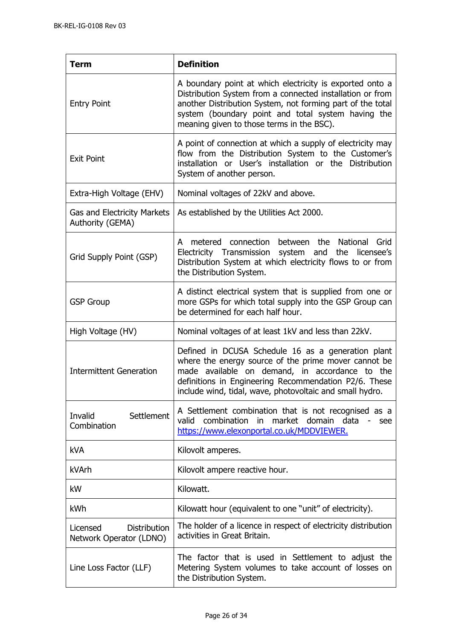| <b>Term</b>                                                | <b>Definition</b>                                                                                                                                                                                                                                                                      |
|------------------------------------------------------------|----------------------------------------------------------------------------------------------------------------------------------------------------------------------------------------------------------------------------------------------------------------------------------------|
| <b>Entry Point</b>                                         | A boundary point at which electricity is exported onto a<br>Distribution System from a connected installation or from<br>another Distribution System, not forming part of the total<br>system (boundary point and total system having the<br>meaning given to those terms in the BSC). |
| <b>Exit Point</b>                                          | A point of connection at which a supply of electricity may<br>flow from the Distribution System to the Customer's<br>installation or User's installation or the Distribution<br>System of another person.                                                                              |
| Extra-High Voltage (EHV)                                   | Nominal voltages of 22kV and above.                                                                                                                                                                                                                                                    |
| <b>Gas and Electricity Markets</b><br>Authority (GEMA)     | As established by the Utilities Act 2000.                                                                                                                                                                                                                                              |
| Grid Supply Point (GSP)                                    | metered connection<br>between the<br>National<br>Grid<br>A<br>Electricity Transmission system and the licensee's<br>Distribution System at which electricity flows to or from<br>the Distribution System.                                                                              |
| <b>GSP Group</b>                                           | A distinct electrical system that is supplied from one or<br>more GSPs for which total supply into the GSP Group can<br>be determined for each half hour.                                                                                                                              |
| High Voltage (HV)                                          | Nominal voltages of at least 1kV and less than 22kV.                                                                                                                                                                                                                                   |
| <b>Intermittent Generation</b>                             | Defined in DCUSA Schedule 16 as a generation plant<br>where the energy source of the prime mover cannot be<br>made available on demand, in accordance to the<br>definitions in Engineering Recommendation P2/6. These<br>include wind, tidal, wave, photovoltaic and small hydro.      |
| Settlement<br>Invalid<br>Combination                       | A Settlement combination that is not recognised as a<br>combination in market domain data<br>valid<br>$\overline{\phantom{a}}$<br>see<br>https://www.elexonportal.co.uk/MDDVIEWER.                                                                                                     |
| <b>kVA</b>                                                 | Kilovolt amperes.                                                                                                                                                                                                                                                                      |
| kVArh                                                      | Kilovolt ampere reactive hour.                                                                                                                                                                                                                                                         |
| kW                                                         | Kilowatt.                                                                                                                                                                                                                                                                              |
| kWh                                                        | Kilowatt hour (equivalent to one "unit" of electricity).                                                                                                                                                                                                                               |
| <b>Distribution</b><br>Licensed<br>Network Operator (LDNO) | The holder of a licence in respect of electricity distribution<br>activities in Great Britain.                                                                                                                                                                                         |
| Line Loss Factor (LLF)                                     | The factor that is used in Settlement to adjust the<br>Metering System volumes to take account of losses on<br>the Distribution System.                                                                                                                                                |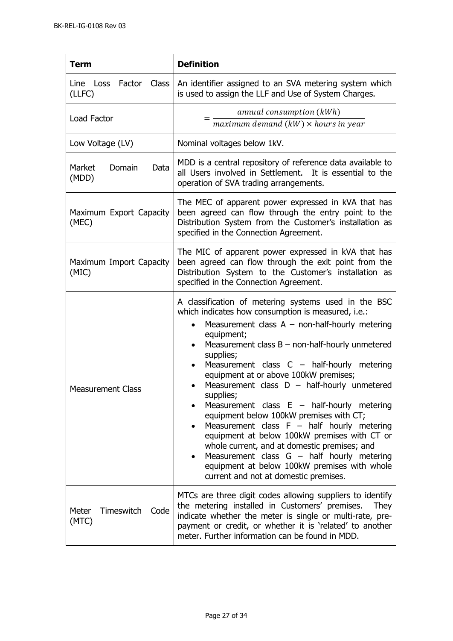| <b>Term</b>                          | <b>Definition</b>                                                                                                                                                                                                                                                                                                                                                                                                                                                                                                                                                                                                                                                                                                                                                                                                                             |
|--------------------------------------|-----------------------------------------------------------------------------------------------------------------------------------------------------------------------------------------------------------------------------------------------------------------------------------------------------------------------------------------------------------------------------------------------------------------------------------------------------------------------------------------------------------------------------------------------------------------------------------------------------------------------------------------------------------------------------------------------------------------------------------------------------------------------------------------------------------------------------------------------|
| Line Loss Factor Class<br>(LLFC)     | An identifier assigned to an SVA metering system which<br>is used to assign the LLF and Use of System Charges.                                                                                                                                                                                                                                                                                                                                                                                                                                                                                                                                                                                                                                                                                                                                |
| Load Factor                          | annual consumption (kWh)<br>$maximum\ demand\ (kW) \times hours\ in\ year$                                                                                                                                                                                                                                                                                                                                                                                                                                                                                                                                                                                                                                                                                                                                                                    |
| Low Voltage (LV)                     | Nominal voltages below 1kV.                                                                                                                                                                                                                                                                                                                                                                                                                                                                                                                                                                                                                                                                                                                                                                                                                   |
| Domain<br>Market<br>Data<br>(MDD)    | MDD is a central repository of reference data available to<br>all Users involved in Settlement. It is essential to the<br>operation of SVA trading arrangements.                                                                                                                                                                                                                                                                                                                                                                                                                                                                                                                                                                                                                                                                              |
| Maximum Export Capacity<br>(MEC)     | The MEC of apparent power expressed in kVA that has<br>been agreed can flow through the entry point to the<br>Distribution System from the Customer's installation as<br>specified in the Connection Agreement.                                                                                                                                                                                                                                                                                                                                                                                                                                                                                                                                                                                                                               |
| Maximum Import Capacity<br>(MIC)     | The MIC of apparent power expressed in kVA that has<br>been agreed can flow through the exit point from the<br>Distribution System to the Customer's installation as<br>specified in the Connection Agreement.                                                                                                                                                                                                                                                                                                                                                                                                                                                                                                                                                                                                                                |
| <b>Measurement Class</b>             | A classification of metering systems used in the BSC<br>which indicates how consumption is measured, i.e.:<br>Measurement class $A - non-half-hourly$ metering<br>equipment;<br>Measurement class $B$ – non-half-hourly unmetered<br>$\bullet$<br>supplies;<br>Measurement class $C -$ half-hourly metering<br>equipment at or above 100kW premises;<br>Measurement class $D - \text{half-hourly}$ unmetered<br>$\bullet$<br>supplies;<br>Measurement class $E - \text{half-hourly metric}$<br>equipment below 100kW premises with CT;<br>Measurement class $F - \text{half}$ hourly metering<br>equipment at below 100kW premises with CT or<br>whole current, and at domestic premises; and<br>Measurement class $G - \text{half}$ hourly metering<br>equipment at below 100kW premises with whole<br>current and not at domestic premises. |
| Meter<br>Timeswitch<br>Code<br>(MTC) | MTCs are three digit codes allowing suppliers to identify<br>the metering installed in Customers' premises.<br>They<br>indicate whether the meter is single or multi-rate, pre-<br>payment or credit, or whether it is 'related' to another<br>meter. Further information can be found in MDD.                                                                                                                                                                                                                                                                                                                                                                                                                                                                                                                                                |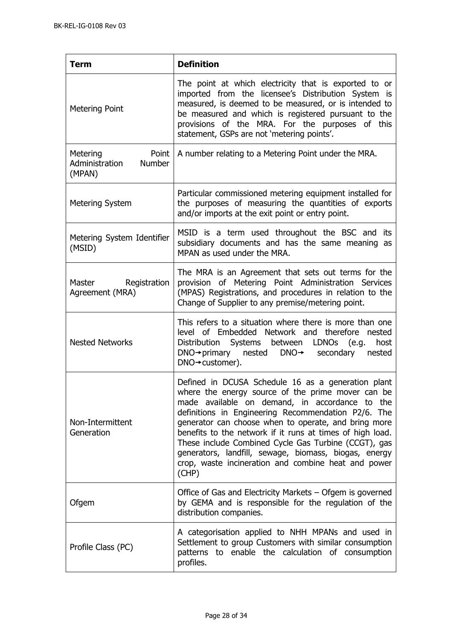| <b>Term</b>                                                    | <b>Definition</b>                                                                                                                                                                                                                                                                                                                                                                                                                                                                                                      |
|----------------------------------------------------------------|------------------------------------------------------------------------------------------------------------------------------------------------------------------------------------------------------------------------------------------------------------------------------------------------------------------------------------------------------------------------------------------------------------------------------------------------------------------------------------------------------------------------|
| <b>Metering Point</b>                                          | The point at which electricity that is exported to or<br>imported from the licensee's Distribution System is<br>measured, is deemed to be measured, or is intended to<br>be measured and which is registered pursuant to the<br>provisions of the MRA. For the purposes of this<br>statement, GSPs are not 'metering points'.                                                                                                                                                                                          |
| Metering<br>Point<br>Administration<br><b>Number</b><br>(MPAN) | A number relating to a Metering Point under the MRA.                                                                                                                                                                                                                                                                                                                                                                                                                                                                   |
| <b>Metering System</b>                                         | Particular commissioned metering equipment installed for<br>the purposes of measuring the quantities of exports<br>and/or imports at the exit point or entry point.                                                                                                                                                                                                                                                                                                                                                    |
| Metering System Identifier<br>(MSID)                           | MSID is a term used throughout the BSC and its<br>subsidiary documents and has the same meaning as<br>MPAN as used under the MRA.                                                                                                                                                                                                                                                                                                                                                                                      |
| Master Registration<br>Agreement (MRA)                         | The MRA is an Agreement that sets out terms for the<br>provision of Metering Point Administration Services<br>(MPAS) Registrations, and procedures in relation to the<br>Change of Supplier to any premise/metering point.                                                                                                                                                                                                                                                                                             |
| <b>Nested Networks</b>                                         | This refers to a situation where there is more than one<br>level of Embedded Network and therefore nested<br>Distribution Systems between LDNOs (e.g.<br>host<br>$DNA \rightarrow primary$ nested $DNA \rightarrow$ secondary<br>nested<br>$DNO \rightarrow$ customer).                                                                                                                                                                                                                                                |
| Non-Intermittent<br>Generation                                 | Defined in DCUSA Schedule 16 as a generation plant<br>where the energy source of the prime mover can be<br>made available on demand, in accordance to the<br>definitions in Engineering Recommendation P2/6. The<br>generator can choose when to operate, and bring more<br>benefits to the network if it runs at times of high load.<br>These include Combined Cycle Gas Turbine (CCGT), gas<br>generators, landfill, sewage, biomass, biogas, energy<br>crop, waste incineration and combine heat and power<br>(CHP) |
| Ofgem                                                          | Office of Gas and Electricity Markets – Ofgem is governed<br>by GEMA and is responsible for the regulation of the<br>distribution companies.                                                                                                                                                                                                                                                                                                                                                                           |
| Profile Class (PC)                                             | A categorisation applied to NHH MPANs and used in<br>Settlement to group Customers with similar consumption<br>patterns to enable the calculation of consumption<br>profiles.                                                                                                                                                                                                                                                                                                                                          |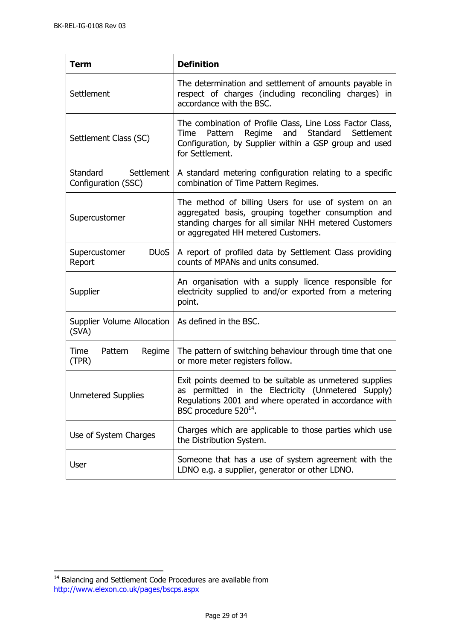| <b>Term</b>                                       | <b>Definition</b>                                                                                                                                                                                               |
|---------------------------------------------------|-----------------------------------------------------------------------------------------------------------------------------------------------------------------------------------------------------------------|
| Settlement                                        | The determination and settlement of amounts payable in<br>respect of charges (including reconciling charges) in<br>accordance with the BSC.                                                                     |
| Settlement Class (SC)                             | The combination of Profile Class, Line Loss Factor Class,<br>Regime and Standard Settlement<br>Pattern<br>Time<br>Configuration, by Supplier within a GSP group and used<br>for Settlement.                     |
| Standard<br>Settlement<br>Configuration (SSC)     | A standard metering configuration relating to a specific<br>combination of Time Pattern Regimes.                                                                                                                |
| Supercustomer                                     | The method of billing Users for use of system on an<br>aggregated basis, grouping together consumption and<br>standing charges for all similar NHH metered Customers<br>or aggregated HH metered Customers.     |
| <b>DU<sub>o</sub>S</b><br>Supercustomer<br>Report | A report of profiled data by Settlement Class providing<br>counts of MPANs and units consumed.                                                                                                                  |
| Supplier                                          | An organisation with a supply licence responsible for<br>electricity supplied to and/or exported from a metering<br>point.                                                                                      |
| Supplier Volume Allocation<br>(SVA)               | As defined in the BSC.                                                                                                                                                                                          |
| Time<br>Pattern<br>Regime<br>(TPR)                | The pattern of switching behaviour through time that one<br>or more meter registers follow.                                                                                                                     |
| <b>Unmetered Supplies</b>                         | Exit points deemed to be suitable as unmetered supplies<br>permitted in the Electricity (Unmetered Supply)<br>as<br>Regulations 2001 and where operated in accordance with<br>BSC procedure 520 <sup>14</sup> . |
| Use of System Charges                             | Charges which are applicable to those parties which use<br>the Distribution System.                                                                                                                             |
| <b>User</b>                                       | Someone that has a use of system agreement with the<br>LDNO e.g. a supplier, generator or other LDNO.                                                                                                           |

j

 $14$  Balancing and Settlement Code Procedures are available from <http://www.elexon.co.uk/pages/bscps.aspx>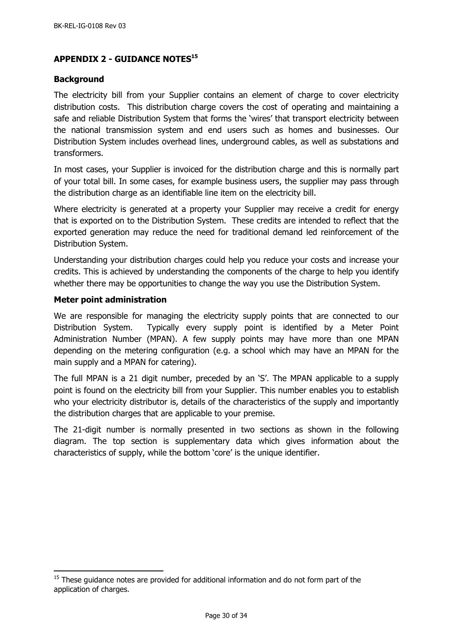## <span id="page-29-0"></span>**APPENDIX 2 - GUIDANCE NOTES<sup>15</sup>**

#### <span id="page-29-1"></span>**Background**

The electricity bill from your Supplier contains an element of charge to cover electricity distribution costs. This distribution charge covers the cost of operating and maintaining a safe and reliable Distribution System that forms the 'wires' that transport electricity between the national transmission system and end users such as homes and businesses. Our Distribution System includes overhead lines, underground cables, as well as substations and transformers.

In most cases, your Supplier is invoiced for the distribution charge and this is normally part of your total bill. In some cases, for example business users, the supplier may pass through the distribution charge as an identifiable line item on the electricity bill.

Where electricity is generated at a property your Supplier may receive a credit for energy that is exported on to the Distribution System. These credits are intended to reflect that the exported generation may reduce the need for traditional demand led reinforcement of the Distribution System.

Understanding your distribution charges could help you reduce your costs and increase your credits. This is achieved by understanding the components of the charge to help you identify whether there may be opportunities to change the way you use the Distribution System.

#### <span id="page-29-2"></span>**Meter point administration**

j

We are responsible for managing the electricity supply points that are connected to our Distribution System. Typically every supply point is identified by a Meter Point Administration Number (MPAN). A few supply points may have more than one MPAN depending on the metering configuration (e.g. a school which may have an MPAN for the main supply and a MPAN for catering).

The full MPAN is a 21 digit number, preceded by an 'S'. The MPAN applicable to a supply point is found on the electricity bill from your Supplier. This number enables you to establish who your electricity distributor is, details of the characteristics of the supply and importantly the distribution charges that are applicable to your premise.

The 21-digit number is normally presented in two sections as shown in the following diagram. The top section is supplementary data which gives information about the characteristics of supply, while the bottom 'core' is the unique identifier.

 $15$  These guidance notes are provided for additional information and do not form part of the application of charges.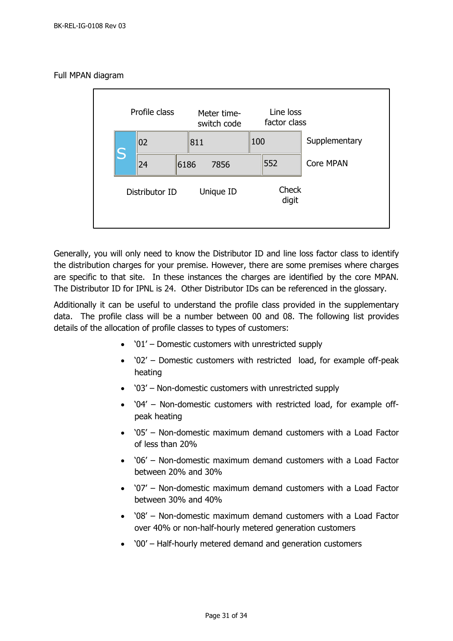#### Full MPAN diagram



Generally, you will only need to know the Distributor ID and line loss factor class to identify the distribution charges for your premise. However, there are some premises where charges are specific to that site. In these instances the charges are identified by the core MPAN. The Distributor ID for IPNL is 24. Other Distributor IDs can be referenced in the glossary.

Additionally it can be useful to understand the profile class provided in the supplementary data. The profile class will be a number between 00 and 08. The following list provides details of the allocation of profile classes to types of customers:

- '01' Domestic customers with unrestricted supply
- '02' Domestic customers with restricted load, for example off-peak heating
- '03' Non-domestic customers with unrestricted supply
- '04' Non-domestic customers with restricted load, for example offpeak heating
- '05' Non-domestic maximum demand customers with a Load Factor of less than 20%
- '06' Non-domestic maximum demand customers with a Load Factor between 20% and 30%
- '07' Non-domestic maximum demand customers with a Load Factor between 30% and 40%
- '08' Non-domestic maximum demand customers with a Load Factor over 40% or non-half-hourly metered generation customers
- '00' Half-hourly metered demand and generation customers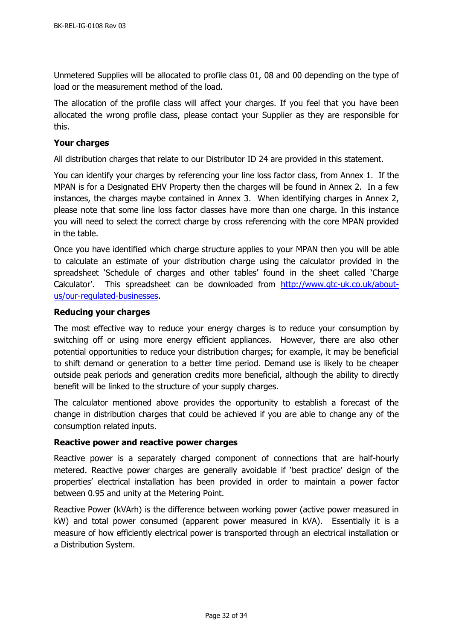Unmetered Supplies will be allocated to profile class 01, 08 and 00 depending on the type of load or the measurement method of the load.

The allocation of the profile class will affect your charges. If you feel that you have been allocated the wrong profile class, please contact your Supplier as they are responsible for this.

#### <span id="page-31-0"></span>**Your charges**

All distribution charges that relate to our Distributor ID 24 are provided in this statement.

You can identify your charges by referencing your line loss factor class, from Annex 1. If the MPAN is for a Designated EHV Property then the charges will be found in Annex 2. In a few instances, the charges maybe contained in Annex 3. When identifying charges in Annex 2, please note that some line loss factor classes have more than one charge. In this instance you will need to select the correct charge by cross referencing with the core MPAN provided in the table.

Once you have identified which charge structure applies to your MPAN then you will be able to calculate an estimate of your distribution charge using the calculator provided in the spreadsheet 'Schedule of charges and other tables' found in the sheet called 'Charge Calculator'. This spreadsheet can be downloaded from [http://www.gtc-uk.co.uk/about](http://www.gtc-uk.co.uk/about-us/our-regulated-businesses)[us/our-regulated-businesses.](http://www.gtc-uk.co.uk/about-us/our-regulated-businesses)

## <span id="page-31-1"></span>**Reducing your charges**

The most effective way to reduce your energy charges is to reduce your consumption by switching off or using more energy efficient appliances. However, there are also other potential opportunities to reduce your distribution charges; for example, it may be beneficial to shift demand or generation to a better time period. Demand use is likely to be cheaper outside peak periods and generation credits more beneficial, although the ability to directly benefit will be linked to the structure of your supply charges.

The calculator mentioned above provides the opportunity to establish a forecast of the change in distribution charges that could be achieved if you are able to change any of the consumption related inputs.

#### <span id="page-31-2"></span>**Reactive power and reactive power charges**

Reactive power is a separately charged component of connections that are half-hourly metered. Reactive power charges are generally avoidable if 'best practice' design of the properties' electrical installation has been provided in order to maintain a power factor between 0.95 and unity at the Metering Point.

Reactive Power (kVArh) is the difference between working power (active power measured in kW) and total power consumed (apparent power measured in kVA). Essentially it is a measure of how efficiently electrical power is transported through an electrical installation or a Distribution System.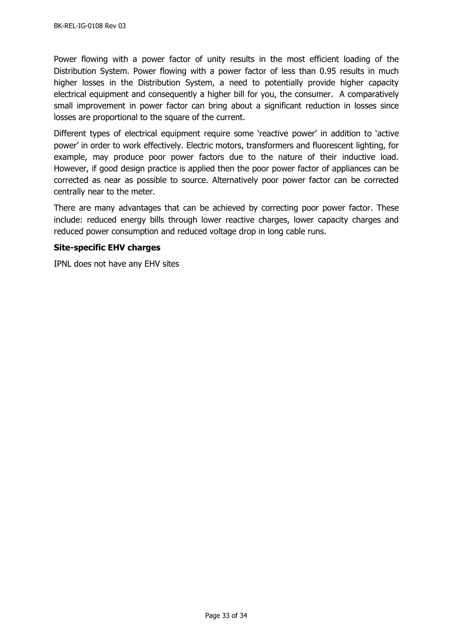Power flowing with a power factor of unity results in the most efficient loading of the Distribution System. Power flowing with a power factor of less than 0.95 results in much higher losses in the Distribution System, a need to potentially provide higher capacity electrical equipment and consequently a higher bill for you, the consumer. A comparatively small improvement in power factor can bring about a significant reduction in losses since losses are proportional to the square of the current.

Different types of electrical equipment require some 'reactive power' in addition to 'active power' in order to work effectively. Electric motors, transformers and fluorescent lighting, for example, may produce poor power factors due to the nature of their inductive load. However, if good design practice is applied then the poor power factor of appliances can be corrected as near as possible to source. Alternatively poor power factor can be corrected centrally near to the meter.

There are many advantages that can be achieved by correcting poor power factor. These include: reduced energy bills through lower reactive charges, lower capacity charges and reduced power consumption and reduced voltage drop in long cable runs.

#### <span id="page-32-0"></span>**Site-specific EHV charges**

IPNL does not have any EHV sites